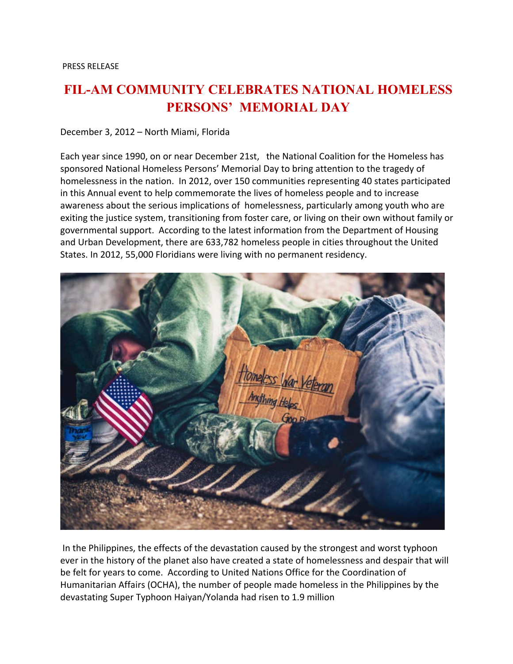## **FIL-AM COMMUNITY CELEBRATES NATIONAL HOMELESS PERSONS' MEMORIAL DAY**

December 3, 2012 – North Miami, Florida

Each year since 1990, on or near December 21st, the National Coalition for the Homeless has sponsored National Homeless Persons' Memorial Day to bring attention to the tragedy of homelessness in the nation. In 2012, over 150 communities representing 40 states participated in this Annual event to help commemorate the lives of homeless people and to increase awareness about the serious implications of homelessness, particularly among youth who are exiting the justice system, transitioning from foster care, or living on their own without family or governmental support. According to the latest information from the Department of Housing and Urban Development, there are 633,782 homeless people in cities throughout the United States. In 2012, 55,000 Floridians were living with no permanent residency.



In the Philippines, the effects of the devastation caused by the strongest and worst typhoon ever in the history of the planet also have created a state of homelessness and despair that will be felt for years to come. According to United Nations Office for the Coordination of Humanitarian Affairs (OCHA), the number of people made homeless in the Philippines by the devastating Super Typhoon Haiyan/Yolanda had risen to 1.9 million